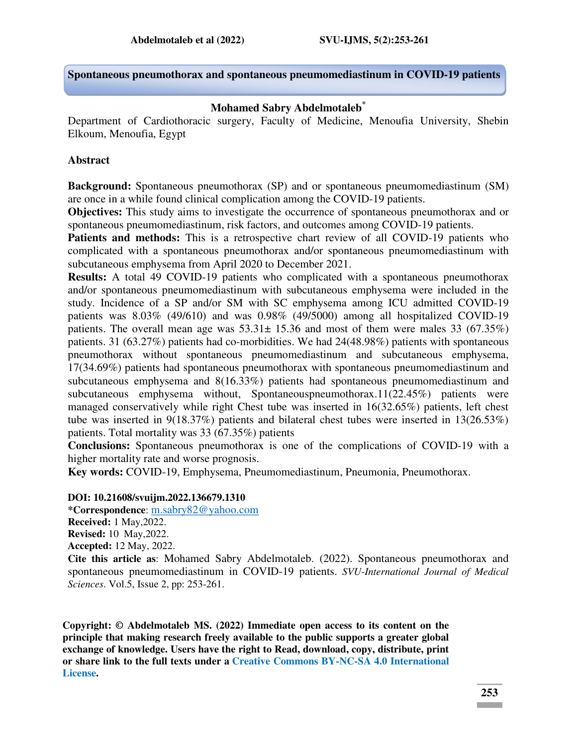**Spontaneous pneumothorax and spontaneous pneumomediastinum in COVID-19 patients** 

#### **Mohamed Sabry Abdelmotaleb\***

Department of Cardiothoracic surgery, Faculty of Medicine, Menoufia University, Shebin Elkoum, Menoufia, Egypt

#### **Abstract**

**Background:** Spontaneous pneumothorax (SP) and or spontaneous pneumomediastinum (SM) are once in a while found clinical complication among the COVID-19 patients.

**Objectives:** This study aims to investigate the occurrence of spontaneous pneumothorax and or spontaneous pneumomediastinum, risk factors, and outcomes among COVID-19 patients.

Patients and methods: This is a retrospective chart review of all COVID-19 patients who complicated with a spontaneous pneumothorax and/or spontaneous pneumomediastinum with subcutaneous emphysema from April 2020 to December 2021.

**Results:** A total 49 COVID-19 patients who complicated with a spontaneous pneumothorax and/or spontaneous pneumomediastinum with subcutaneous emphysema were included in the study. Incidence of a SP and/or SM with SC emphysema among ICU admitted COVID-19 patients was 8.03% (49/610) and was 0.98% (49/5000) among all hospitalized COVID-19 patients. The overall mean age was  $53.31 \pm 15.36$  and most of them were males 33 (67.35%) patients. 31 (63.27%) patients had co-morbidities. We had 24(48.98%) patients with spontaneous pneumothorax without spontaneous pneumomediastinum and subcutaneous emphysema, 17(34.69%) patients had spontaneous pneumothorax with spontaneous pneumomediastinum and subcutaneous emphysema and 8(16.33%) patients had spontaneous pneumomediastinum and subcutaneous emphysema without, Spontaneouspneumothorax.11(22.45%) patients were managed conservatively while right Chest tube was inserted in 16(32.65%) patients, left chest tube was inserted in 9(18.37%) patients and bilateral chest tubes were inserted in 13(26.53%) patients. Total mortality was 33 (67.35%) patients

**Conclusions:** Spontaneous pneumothorax is one of the complications of COVID-19 with a higher mortality rate and worse prognosis.

**Key words:** COVID-19, Emphysema, Pneumomediastinum, Pneumonia, Pneumothorax.

#### **DOI: 10.21608/svuijm.2022.136679.1310**

**\*Correspondence**: [m.sabry82@yahoo.com](mailto:m.sabry82@yahoo.com) **Received:** 1 May,2022. **Revised:** 10 May,2022. **Accepted:** 12 May, 2022. **Cite this article as**: Mohamed Sabry Abdelmotaleb. (2022). Spontaneous pneumothorax and spontaneous pneumomediastinum in COVID-19 patients. *SVU-International Journal of Medical Sciences*. Vol.5, Issue 2, pp: 253-261.

**Copyright: © Abdelmotaleb MS. (2022) Immediate open access to its content on the principle that making research freely available to the public supports a greater global exchange of knowledge. Users have the right to Read, download, copy, distribute, print or share link to the full texts under a [Creative Commons BY-NC-SA 4.0 International](https://creativecommons.org/licenses/by-nc-sa/4.0/)  [License.](https://creativecommons.org/licenses/by-nc-sa/4.0/)**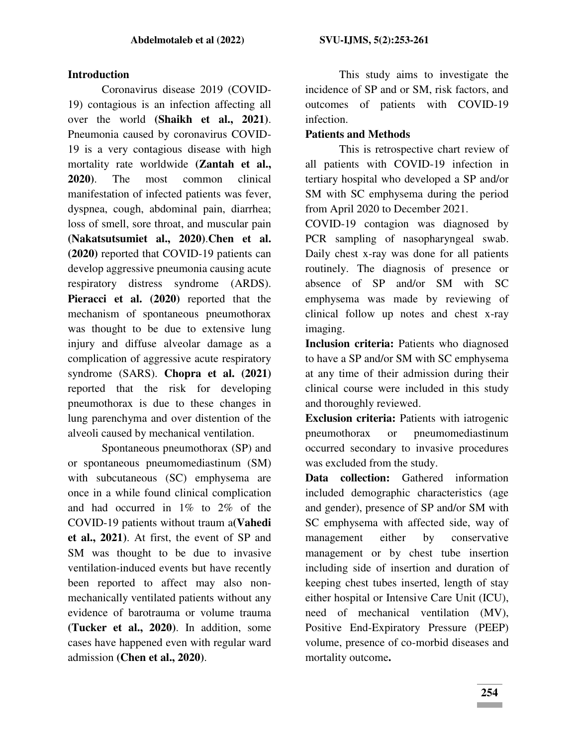### **Introduction**

Coronavirus disease 2019 (COVID-19) contagious is an infection affecting all over the world **(Shaikh et al., 2021)**. Pneumonia caused by coronavirus COVID-19 is a very contagious disease with high mortality rate worldwide **(Zantah et al., 2020)**. The most common clinical manifestation of infected patients was fever, dyspnea, cough, abdominal pain, diarrhea; loss of smell, sore throat, and muscular pain **(Nakatsutsumiet al., 2020)**.**Chen et al. (2020)** reported that COVID-19 patients can develop aggressive pneumonia causing acute respiratory distress syndrome (ARDS). **Pieracci et al. (2020)** reported that the mechanism of spontaneous pneumothorax was thought to be due to extensive lung injury and diffuse alveolar damage as a complication of aggressive acute respiratory syndrome (SARS). **Chopra et al. (2021)**  reported that the risk for developing pneumothorax is due to these changes in lung parenchyma and over distention of the alveoli caused by mechanical ventilation.

Spontaneous pneumothorax (SP) and or spontaneous pneumomediastinum (SM) with subcutaneous (SC) emphysema are once in a while found clinical complication and had occurred in 1% to 2% of the COVID-19 patients without traum a**(Vahedi et al., 2021)**. At first, the event of SP and SM was thought to be due to invasive ventilation-induced events but have recently been reported to affect may also nonmechanically ventilated patients without any evidence of barotrauma or volume trauma **(Tucker et al., 2020)**. In addition, some cases have happened even with regular ward admission **(Chen et al., 2020)**.

This study aims to investigate the incidence of SP and or SM, risk factors, and outcomes of patients with COVID-19 infection.

## **Patients and Methods**

This is retrospective chart review of all patients with COVID-19 infection in tertiary hospital who developed a SP and/or SM with SC emphysema during the period from April 2020 to December 2021.

COVID-19 contagion was diagnosed by PCR sampling of nasopharyngeal swab. Daily chest x-ray was done for all patients routinely. The diagnosis of presence or absence of SP and/or SM with SC emphysema was made by reviewing of clinical follow up notes and chest x-ray imaging.

**Inclusion criteria:** Patients who diagnosed to have a SP and/or SM with SC emphysema at any time of their admission during their clinical course were included in this study and thoroughly reviewed.

**Exclusion criteria:** Patients with iatrogenic pneumothorax or pneumomediastinum occurred secondary to invasive procedures was excluded from the study.

**Data collection:** Gathered information included demographic characteristics (age and gender), presence of SP and/or SM with SC emphysema with affected side, way of management either by conservative management or by chest tube insertion including side of insertion and duration of keeping chest tubes inserted, length of stay either hospital or Intensive Care Unit (ICU), need of mechanical ventilation (MV), Positive End-Expiratory Pressure (PEEP) volume, presence of co-morbid diseases and mortality outcome**.**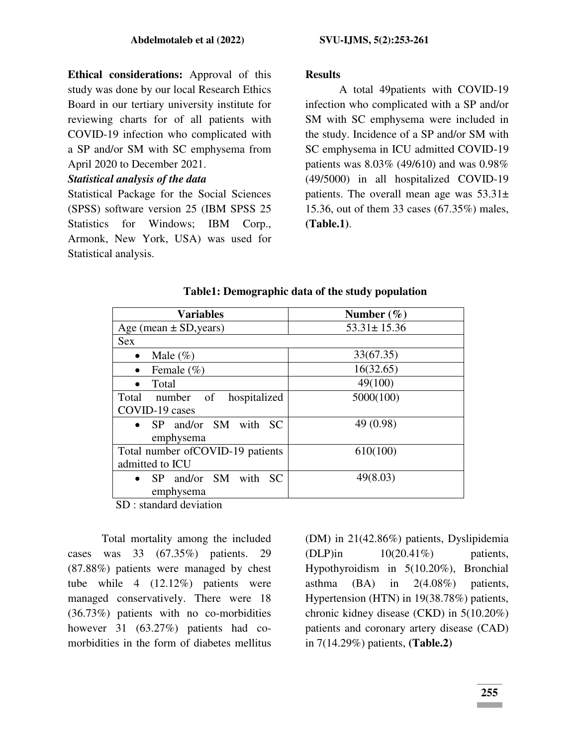**Ethical considerations:** Approval of this study was done by our local Research Ethics Board in our tertiary university institute for reviewing charts for of all patients with COVID-19 infection who complicated with a SP and/or SM with SC emphysema from April 2020 to December 2021.

### *Statistical analysis of the data*

Statistical Package for the Social Sciences (SPSS) software version 25 (IBM SPSS 25 Statistics for Windows; IBM Corp., Armonk, New York, USA) was used for Statistical analysis.

### **Results**

A total 49patients with COVID-19 infection who complicated with a SP and/or SM with SC emphysema were included in the study. Incidence of a SP and/or SM with SC emphysema in ICU admitted COVID-19 patients was 8.03% (49/610) and was 0.98% (49/5000) in all hospitalized COVID-19 patients. The overall mean age was  $53.31\pm$ 15.36, out of them 33 cases (67.35%) males, **(Table.1)**.

| <b>Variables</b>                  | Number $(\% )$    |
|-----------------------------------|-------------------|
| Age (mean $\pm$ SD, years)        | $53.31 \pm 15.36$ |
| <b>Sex</b>                        |                   |
| Male $(\%)$<br>$\bullet$          | 33(67.35)         |
| Female $(\% )$<br>$\bullet$       | 16(32.65)         |
| Total                             | 49(100)           |
| Total number of<br>hospitalized   | 5000(100)         |
| COVID-19 cases                    |                   |
| • SP and/or SM with SC            | 49 (0.98)         |
| emphysema                         |                   |
| Total number of COVID-19 patients | 610(100)          |
| admitted to ICU                   |                   |
| • SP and/or SM with SC            | 49(8.03)          |
| emphysema                         |                   |

### **Table1: Demographic data of the study population**

SD : standard deviation

Total mortality among the included cases was 33 (67.35%) patients. 29 (87.88%) patients were managed by chest tube while 4 (12.12%) patients were managed conservatively. There were 18 (36.73%) patients with no co-morbidities however 31 (63.27%) patients had comorbidities in the form of diabetes mellitus

(DM) in 21(42.86%) patients, Dyslipidemia  $(DLP)$ in  $10(20.41\%)$  patients, Hypothyroidism in 5(10.20%), Bronchial asthma (BA) in 2(4.08%) patients, Hypertension (HTN) in 19(38.78%) patients, chronic kidney disease (CKD) in 5(10.20%) patients and coronary artery disease (CAD) in 7(14.29%) patients, **(Table.2)**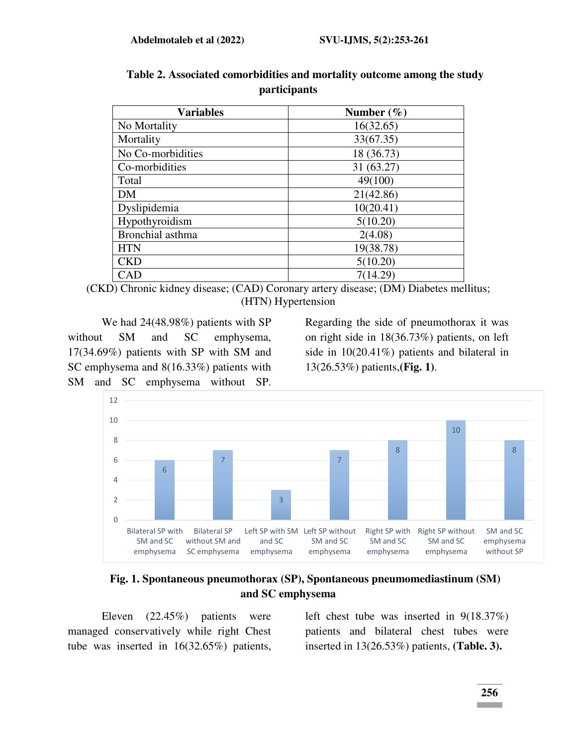| <b>Variables</b>  | Number $(\% )$ |
|-------------------|----------------|
| No Mortality      | 16(32.65)      |
| Mortality         | 33(67.35)      |
| No Co-morbidities | 18 (36.73)     |
| Co-morbidities    | 31 (63.27)     |
| Total             | 49(100)        |
| <b>DM</b>         | 21(42.86)      |
| Dyslipidemia      | 10(20.41)      |
| Hypothyroidism    | 5(10.20)       |
| Bronchial asthma  | 2(4.08)        |
| <b>HTN</b>        | 19(38.78)      |
| <b>CKD</b>        | 5(10.20)       |
| CAD               | 7(14.29)       |

# **Table 2. Associated comorbidities and mortality outcome among the study participants**

(CKD) Chronic kidney disease; (CAD) Coronary artery disease; (DM) Diabetes mellitus; (HTN) Hypertension

We had 24(48.98%) patients with SP without SM and SC emphysema, 17(34.69%) patients with SP with SM and SC emphysema and 8(16.33%) patients with SM and SC emphysema without SP.

Regarding the side of pneumothorax it was on right side in 18(36.73%) patients, on left side in 10(20.41%) patients and bilateral in 13(26.53%) patients,**(Fig. 1)**.



**Fig. 1. Spontaneous pneumothorax (SP), Spontaneous pneumomediastinum (SM) and SC emphysema**

Eleven (22.45%) patients were managed conservatively while right Chest tube was inserted in 16(32.65%) patients,

left chest tube was inserted in 9(18.37%) patients and bilateral chest tubes were inserted in 13(26.53%) patients, **(Table. 3).**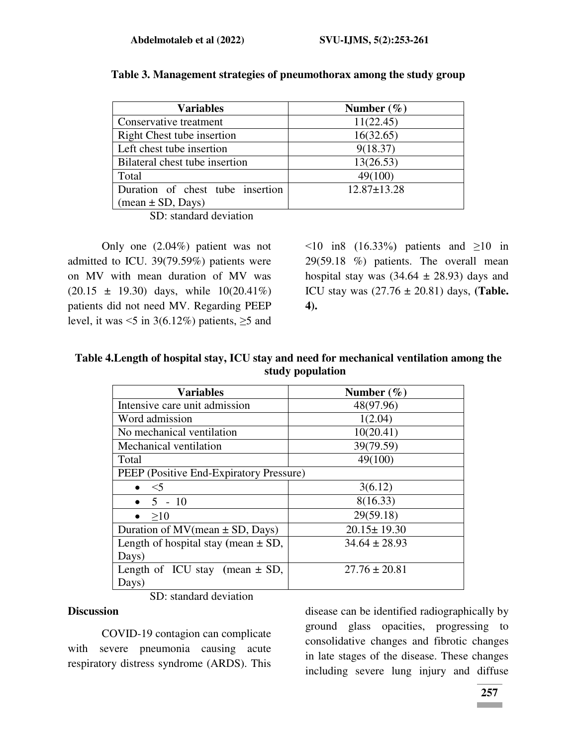| <b>Variables</b>                           | Number $(\% )$    |
|--------------------------------------------|-------------------|
| Conservative treatment                     | 11(22.45)         |
| Right Chest tube insertion                 | 16(32.65)         |
| Left chest tube insertion                  | 9(18.37)          |
| Bilateral chest tube insertion             | 13(26.53)         |
| Total                                      | 49(100)           |
| Duration of chest tube insertion           | $12.87 \pm 13.28$ |
| $(\text{mean} \pm \text{SD}, \text{Days})$ |                   |

#### **Table 3. Management strategies of pneumothorax among the study group**

SD: standard deviation

Only one (2.04%) patient was not admitted to ICU. 39(79.59%) patients were on MV with mean duration of MV was  $(20.15 \pm 19.30)$  days, while  $10(20.41\%)$ patients did not need MV. Regarding PEEP level, it was  $\leq 5$  in 3(6.12%) patients,  $\geq 5$  and

 $\leq 10$  in8 (16.33%) patients and  $\geq 10$  in 29(59.18 %) patients. The overall mean hospital stay was  $(34.64 \pm 28.93)$  days and ICU stay was (27.76 ± 20.81) days, **(Table. 4).**

**Table 4.Length of hospital stay, ICU stay and need for mechanical ventilation among the study population** 

| <b>Variables</b>                        | Number $(\% )$    |
|-----------------------------------------|-------------------|
| Intensive care unit admission           | 48(97.96)         |
| Word admission                          | 1(2.04)           |
| No mechanical ventilation               | 10(20.41)         |
| Mechanical ventilation                  | 39(79.59)         |
| Total                                   | 49(100)           |
| PEEP (Positive End-Expiratory Pressure) |                   |
| $\bullet \quad \leq 5$                  | 3(6.12)           |
| • $5 - 10$                              | 8(16.33)          |
| >10                                     | 29(59.18)         |
| Duration of $MV(mean \pm SD, Days)$     | $20.15 \pm 19.30$ |
| Length of hospital stay (mean $\pm$ SD, | $34.64 \pm 28.93$ |
| Days)                                   |                   |
| Length of ICU stay (mean $\pm$ SD,      | $27.76 \pm 20.81$ |
| Days)                                   |                   |

SD: standard deviation

#### **Discussion**

COVID-19 contagion can complicate with severe pneumonia causing acute respiratory distress syndrome (ARDS). This

disease can be identified radiographically by ground glass opacities, progressing to consolidative changes and fibrotic changes in late stages of the disease. These changes including severe lung injury and diffuse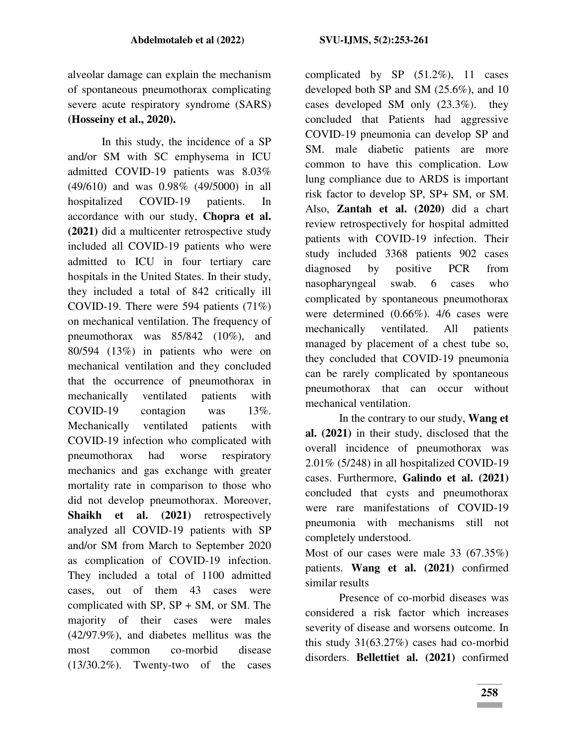alveolar damage can explain the mechanism of spontaneous pneumothorax complicating severe acute respiratory syndrome (SARS) **(Hosseiny et al., 2020).**

In this study, the incidence of a SP and/or SM with SC emphysema in ICU admitted COVID-19 patients was 8.03% (49/610) and was 0.98% (49/5000) in all hospitalized COVID-19 patients. In accordance with our study, **Chopra et al. (2021)** did a multicenter retrospective study included all COVID-19 patients who were admitted to ICU in four tertiary care hospitals in the United States. In their study, they included a total of 842 critically ill COVID-19. There were 594 patients (71%) on mechanical ventilation. The frequency of pneumothorax was 85/842 (10%), and 80/594 (13%) in patients who were on mechanical ventilation and they concluded that the occurrence of pneumothorax in mechanically ventilated patients with COVID-19 contagion was 13%. Mechanically ventilated patients with COVID-19 infection who complicated with pneumothorax had worse respiratory mechanics and gas exchange with greater mortality rate in comparison to those who did not develop pneumothorax. Moreover, **Shaikh et al. (2021)** retrospectively analyzed all COVID-19 patients with SP and/or SM from March to September 2020 as complication of COVID-19 infection. They included a total of 1100 admitted cases, out of them 43 cases were complicated with  $SP$ ,  $SP + SM$ , or SM. The majority of their cases were males (42/97.9%), and diabetes mellitus was the most common co-morbid disease (13/30.2%). Twenty-two of the cases

complicated by SP (51.2%), 11 cases developed both SP and SM (25.6%), and 10 cases developed SM only (23.3%). they concluded that Patients had aggressive COVID-19 pneumonia can develop SP and SM. male diabetic patients are more common to have this complication. Low lung compliance due to ARDS is important risk factor to develop SP, SP+ SM, or SM. Also, **Zantah et al. (2020)** did a chart review retrospectively for hospital admitted patients with COVID-19 infection. Their study included 3368 patients 902 cases diagnosed by positive PCR from nasopharyngeal swab. 6 cases who complicated by spontaneous pneumothorax were determined (0.66%). 4/6 cases were mechanically ventilated. All patients managed by placement of a chest tube so, they concluded that COVID-19 pneumonia can be rarely complicated by spontaneous pneumothorax that can occur without mechanical ventilation.

In the contrary to our study, **Wang et al. (2021)** in their study, disclosed that the overall incidence of pneumothorax was 2.01% (5/248) in all hospitalized COVID-19 cases. Furthermore, **Galindo et al. (2021)** concluded that cysts and pneumothorax were rare manifestations of COVID-19 pneumonia with mechanisms still not completely understood.

Most of our cases were male 33 (67.35%) patients. **Wang et al. (2021)** confirmed similar results

Presence of co-morbid diseases was considered a risk factor which increases severity of disease and worsens outcome. In this study 31(63.27%) cases had co-morbid disorders. **Bellettiet al. (2021)** confirmed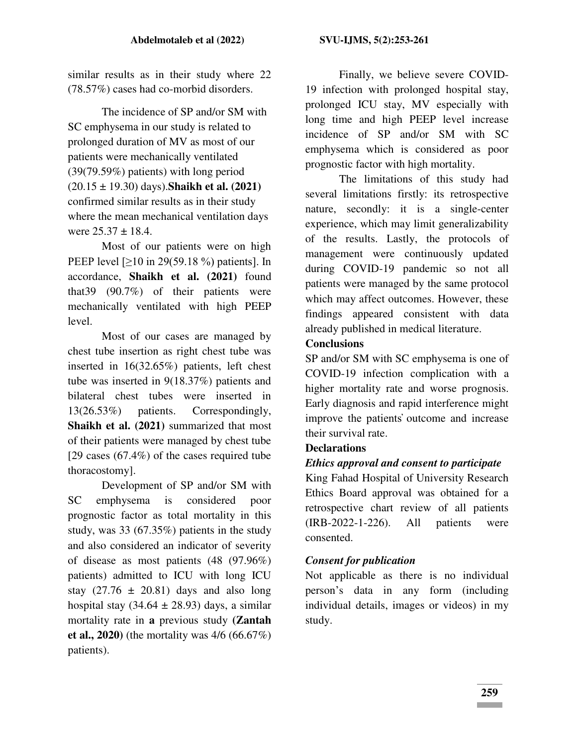similar results as in their study where 22 (78.57%) cases had co-morbid disorders.

The incidence of SP and/or SM with SC emphysema in our study is related to prolonged duration of MV as most of our patients were mechanically ventilated (39(79.59%) patients) with long period (20.15 ± 19.30) days).**Shaikh et al. (2021)** confirmed similar results as in their study where the mean mechanical ventilation days were  $25.37 \pm 18.4$ .

 Most of our patients were on high PEEP level [≥10 in 29(59.18 %) patients]. In accordance, **Shaikh et al. (2021)** found that39 (90.7%) of their patients were mechanically ventilated with high PEEP level.

Most of our cases are managed by chest tube insertion as right chest tube was inserted in 16(32.65%) patients, left chest tube was inserted in 9(18.37%) patients and bilateral chest tubes were inserted in 13(26.53%) patients. Correspondingly, **Shaikh et al. (2021)** summarized that most of their patients were managed by chest tube [29 cases (67.4%) of the cases required tube thoracostomy].

Development of SP and/or SM with SC emphysema is considered poor prognostic factor as total mortality in this study, was 33 (67.35%) patients in the study and also considered an indicator of severity of disease as most patients (48 (97.96%) patients) admitted to ICU with long ICU stay  $(27.76 \pm 20.81)$  days and also long hospital stay  $(34.64 \pm 28.93)$  days, a similar mortality rate in **a** previous study **(Zantah et al., 2020)** (the mortality was 4/6 (66.67%) patients).

Finally, we believe severe COVID-19 infection with prolonged hospital stay, prolonged ICU stay, MV especially with long time and high PEEP level increase incidence of SP and/or SM with SC emphysema which is considered as poor prognostic factor with high mortality.

The limitations of this study had several limitations firstly: its retrospective nature, secondly: it is a single-center experience, which may limit generalizability of the results. Lastly, the protocols of management were continuously updated during COVID-19 pandemic so not all patients were managed by the same protocol which may affect outcomes. However, these findings appeared consistent with data already published in medical literature.

### **Conclusions**

SP and/or SM with SC emphysema is one of COVID-19 infection complication with a higher mortality rate and worse prognosis. Early diagnosis and rapid interference might improve the patients̕ outcome and increase their survival rate.

## **Declarations**

## *Ethics approval and consent to participate*

King Fahad Hospital of University Research Ethics Board approval was obtained for a retrospective chart review of all patients (IRB-2022-1-226). All patients were consented.

## *Consent for publication*

Not applicable as there is no individual person's data in any form (including individual details, images or videos) in my study.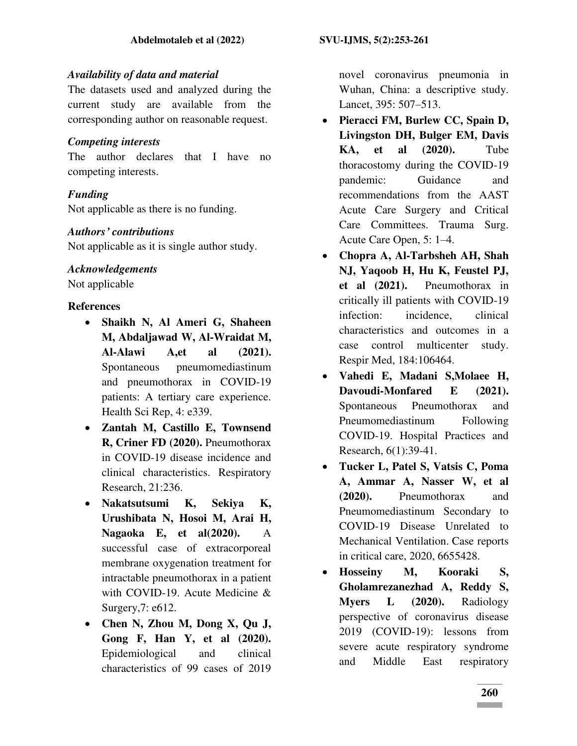## *Availability of data and material*

The datasets used and analyzed during the current study are available from the corresponding author on reasonable request.

## *Competing interests*

The author declares that I have no competing interests.

# *Funding*

Not applicable as there is no funding.

## *Authors' contributions*

Not applicable as it is single author study.

# *Acknowledgements*

Not applicable

# **References**

- **Shaikh N, Al Ameri G, Shaheen M, Abdaljawad W, Al-Wraidat M, Al-Alawi A,et al (2021).**  Spontaneous pneumomediastinum and pneumothorax in COVID-19 patients: A tertiary care experience. Health Sci Rep, 4: e339.
- **Zantah M, Castillo E, Townsend R, Criner FD (2020).** Pneumothorax in COVID-19 disease incidence and clinical characteristics. Respiratory Research, 21:236.
- **Nakatsutsumi K, Sekiya K, Urushibata N, Hosoi M, Arai H, Nagaoka E, et al(2020).** A successful case of extracorporeal membrane oxygenation treatment for intractable pneumothorax in a patient with COVID-19. Acute Medicine & Surgery,7: e612.
- **Chen N, Zhou M, Dong X, Qu J, Gong F, Han Y, et al (2020).** Epidemiological and clinical characteristics of 99 cases of 2019

novel coronavirus pneumonia in Wuhan, China: a descriptive study. Lancet, 395: 507–513.

- **Pieracci FM, Burlew CC, Spain D, Livingston DH, Bulger EM, Davis KA, et al (2020).** Tube thoracostomy during the COVID-19 pandemic: Guidance and recommendations from the AAST Acute Care Surgery and Critical Care Committees. Trauma Surg. Acute Care Open, 5: 1–4.
- **Chopra A, Al-Tarbsheh AH, Shah NJ, Yaqoob H, Hu K, Feustel PJ, et al (2021).** Pneumothorax in critically ill patients with COVID-19 infection: incidence, clinical characteristics and outcomes in a case control multicenter study. Respir Med, 184:106464.
- **Vahedi E, Madani S,Molaee H, Davoudi-Monfared E (2021).**  Spontaneous Pneumothorax and Pneumomediastinum Following COVID-19. Hospital Practices and Research, 6(1):39-41.
- **Tucker L, Patel S, Vatsis C, Poma A, Ammar A, Nasser W, et al (2020).** Pneumothorax and Pneumomediastinum Secondary to COVID-19 Disease Unrelated to Mechanical Ventilation. Case reports in critical care, 2020, 6655428.
- **Hosseiny M, Kooraki S, Gholamrezanezhad A, Reddy S, Myers L (2020).** Radiology perspective of coronavirus disease 2019 (COVID-19): lessons from severe acute respiratory syndrome and Middle East respiratory